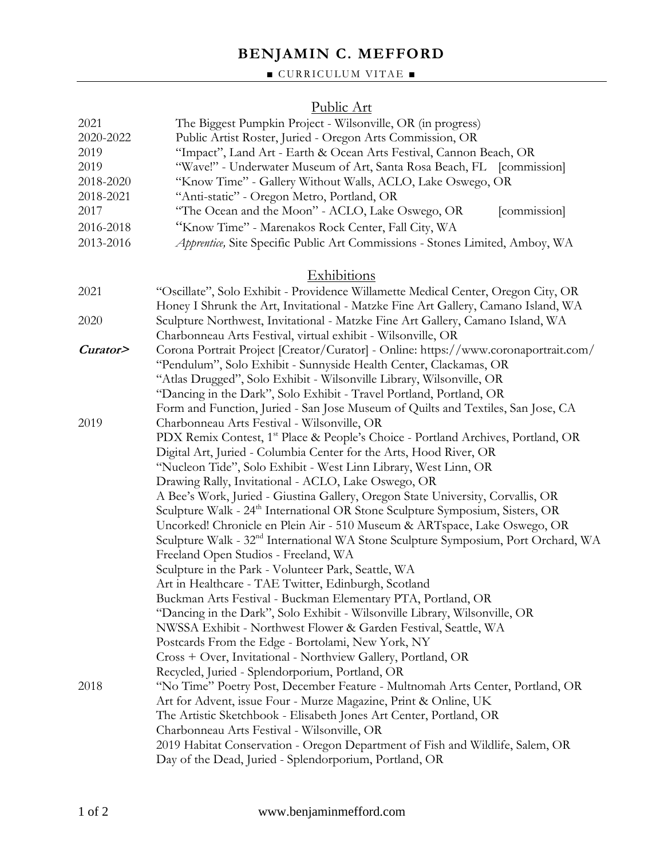# **BENJAMIN C. MEFFORD**

### $\blacksquare$  CURRICULUM VITAE  $\blacksquare$

### Public Art

| 2021<br>2020-2022<br>2019<br>2019<br>2018-2020<br>2018-2021 | The Biggest Pumpkin Project - Wilsonville, OR (in progress)<br>Public Artist Roster, Juried - Oregon Arts Commission, OR<br>"Impact", Land Art - Earth & Ocean Arts Festival, Cannon Beach, OR<br>"Wave!" - Underwater Museum of Art, Santa Rosa Beach, FL<br>[commission]<br>"Know Time" - Gallery Without Walls, ACLO, Lake Oswego, OR<br>"Anti-static" - Oregon Metro, Portland, OR |
|-------------------------------------------------------------|----------------------------------------------------------------------------------------------------------------------------------------------------------------------------------------------------------------------------------------------------------------------------------------------------------------------------------------------------------------------------------------|
| 2017                                                        | "The Ocean and the Moon" - ACLO, Lake Oswego, OR<br>[commission]                                                                                                                                                                                                                                                                                                                       |
| 2016-2018                                                   | "Know Time" - Marenakos Rock Center, Fall City, WA                                                                                                                                                                                                                                                                                                                                     |
| 2013-2016                                                   | Apprentice, Site Specific Public Art Commissions - Stones Limited, Amboy, WA                                                                                                                                                                                                                                                                                                           |
|                                                             | Exhibitions                                                                                                                                                                                                                                                                                                                                                                            |
| 2021                                                        | "Oscillate", Solo Exhibit - Providence Willamette Medical Center, Oregon City, OR<br>Honey I Shrunk the Art, Invitational - Matzke Fine Art Gallery, Camano Island, WA                                                                                                                                                                                                                 |
| 2020                                                        | Sculpture Northwest, Invitational - Matzke Fine Art Gallery, Camano Island, WA<br>Charbonneau Arts Festival, virtual exhibit - Wilsonville, OR                                                                                                                                                                                                                                         |
| Curator>                                                    | Corona Portrait Project [Creator/Curator] - Online: https://www.coronaportrait.com/<br>"Pendulum", Solo Exhibit - Sunnyside Health Center, Clackamas, OR<br>"Atlas Drugged", Solo Exhibit - Wilsonville Library, Wilsonville, OR<br>"Dancing in the Dark", Solo Exhibit - Travel Portland, Portland, OR                                                                                |
| 2019                                                        | Form and Function, Juried - San Jose Museum of Quilts and Textiles, San Jose, CA<br>Charbonneau Arts Festival - Wilsonville, OR<br>PDX Remix Contest, 1 <sup>st</sup> Place & People's Choice - Portland Archives, Portland, OR                                                                                                                                                        |
|                                                             | Digital Art, Juried - Columbia Center for the Arts, Hood River, OR                                                                                                                                                                                                                                                                                                                     |
|                                                             | "Nucleon Tide", Solo Exhibit - West Linn Library, West Linn, OR                                                                                                                                                                                                                                                                                                                        |
|                                                             | Drawing Rally, Invitational - ACLO, Lake Oswego, OR                                                                                                                                                                                                                                                                                                                                    |
|                                                             | A Bee's Work, Juried - Giustina Gallery, Oregon State University, Corvallis, OR                                                                                                                                                                                                                                                                                                        |
|                                                             | Sculpture Walk - 24 <sup>th</sup> International OR Stone Sculpture Symposium, Sisters, OR                                                                                                                                                                                                                                                                                              |
|                                                             | Uncorked! Chronicle en Plein Air - 510 Museum & ARTspace, Lake Oswego, OR                                                                                                                                                                                                                                                                                                              |
|                                                             | Sculpture Walk - 32 <sup>nd</sup> International WA Stone Sculpture Symposium, Port Orchard, WA<br>Freeland Open Studios - Freeland, WA                                                                                                                                                                                                                                                 |
|                                                             | Sculpture in the Park - Volunteer Park, Seattle, WA                                                                                                                                                                                                                                                                                                                                    |
|                                                             | Art in Healthcare - TAE Twitter, Edinburgh, Scotland                                                                                                                                                                                                                                                                                                                                   |
|                                                             | Buckman Arts Festival - Buckman Elementary PTA, Portland, OR                                                                                                                                                                                                                                                                                                                           |
|                                                             | "Dancing in the Dark", Solo Exhibit - Wilsonville Library, Wilsonville, OR                                                                                                                                                                                                                                                                                                             |
|                                                             | NWSSA Exhibit - Northwest Flower & Garden Festival, Seattle, WA                                                                                                                                                                                                                                                                                                                        |
|                                                             | Postcards From the Edge - Bortolami, New York, NY                                                                                                                                                                                                                                                                                                                                      |
|                                                             | Cross + Over, Invitational - Northview Gallery, Portland, OR                                                                                                                                                                                                                                                                                                                           |
|                                                             | Recycled, Juried - Splendorporium, Portland, OR                                                                                                                                                                                                                                                                                                                                        |
| 2018                                                        | "No Time" Poetry Post, December Feature - Multnomah Arts Center, Portland, OR                                                                                                                                                                                                                                                                                                          |
|                                                             | Art for Advent, issue Four - Murze Magazine, Print & Online, UK                                                                                                                                                                                                                                                                                                                        |
|                                                             | The Artistic Sketchbook - Elisabeth Jones Art Center, Portland, OR                                                                                                                                                                                                                                                                                                                     |
|                                                             | Charbonneau Arts Festival - Wilsonville, OR                                                                                                                                                                                                                                                                                                                                            |
|                                                             | 2019 Habitat Conservation - Oregon Department of Fish and Wildlife, Salem, OR<br>Day of the Dead, Juried - Splendorporium, Portland, OR                                                                                                                                                                                                                                                |